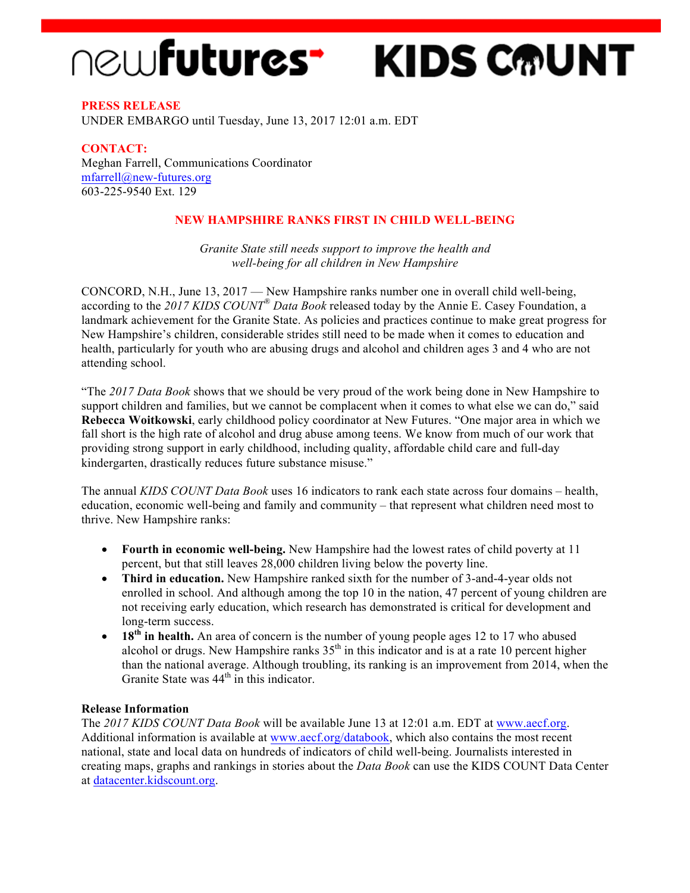## newfutures<sup>-</sup>

**KIDS CMUNT** 

**PRESS RELEASE** UNDER EMBARGO until Tuesday, June 13, 2017 12:01 a.m. EDT

**CONTACT:**  Meghan Farrell, Communications Coordinator mfarrell@new-futures.org 603-225-9540 Ext. 129

## **NEW HAMPSHIRE RANKS FIRST IN CHILD WELL-BEING**

*Granite State still needs support to improve the health and well-being for all children in New Hampshire*

CONCORD, N.H., June 13, 2017 — New Hampshire ranks number one in overall child well-being, according to the *2017 KIDS COUNT® Data Book* released today by the Annie E. Casey Foundation, a landmark achievement for the Granite State. As policies and practices continue to make great progress for New Hampshire's children, considerable strides still need to be made when it comes to education and health, particularly for youth who are abusing drugs and alcohol and children ages 3 and 4 who are not attending school.

"The *2017 Data Book* shows that we should be very proud of the work being done in New Hampshire to support children and families, but we cannot be complacent when it comes to what else we can do," said **Rebecca Woitkowski**, early childhood policy coordinator at New Futures. "One major area in which we fall short is the high rate of alcohol and drug abuse among teens. We know from much of our work that providing strong support in early childhood, including quality, affordable child care and full-day kindergarten, drastically reduces future substance misuse."

The annual *KIDS COUNT Data Book* uses 16 indicators to rank each state across four domains – health, education, economic well-being and family and community – that represent what children need most to thrive. New Hampshire ranks:

- **Fourth in economic well-being.** New Hampshire had the lowest rates of child poverty at 11 percent, but that still leaves 28,000 children living below the poverty line.
- **Third in education.** New Hampshire ranked sixth for the number of 3-and-4-year olds not enrolled in school. And although among the top 10 in the nation, 47 percent of young children are not receiving early education, which research has demonstrated is critical for development and long-term success.
- **18<sup>th</sup> in health.** An area of concern is the number of young people ages 12 to 17 who abused alcohol or drugs. New Hampshire ranks  $35<sup>th</sup>$  in this indicator and is at a rate 10 percent higher than the national average. Although troubling, its ranking is an improvement from 2014, when the Granite State was  $44<sup>th</sup>$  in this indicator.

## **Release Information**

The *2017 KIDS COUNT Data Book* will be available June 13 at 12:01 a.m. EDT at www.aecf.org. Additional information is available at www.aecf.org/databook, which also contains the most recent national, state and local data on hundreds of indicators of child well-being. Journalists interested in creating maps, graphs and rankings in stories about the *Data Book* can use the KIDS COUNT Data Center at datacenter.kidscount.org.